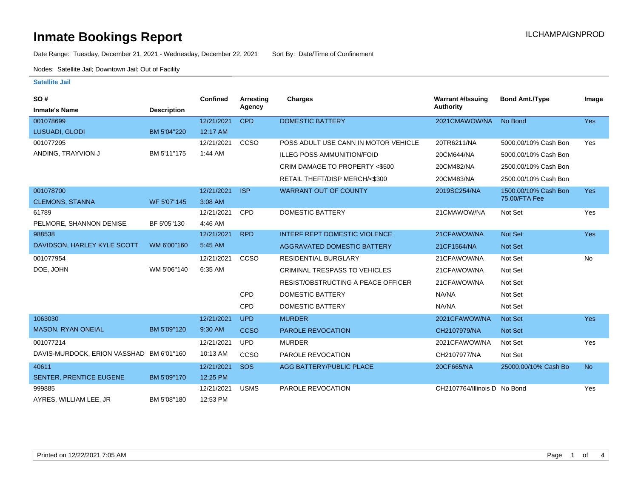### **Inmate Bookings Report International Contract Contract Contract Contract Contract Contract Contract Contract Contract Contract Contract Contract Contract Contract Contract Contract Contract Contract Contract Contract Co**

Date Range: Tuesday, December 21, 2021 - Wednesday, December 22, 2021 Sort By: Date/Time of Confinement

Nodes: Satellite Jail; Downtown Jail; Out of Facility

#### **Satellite Jail**

| SO#                                      |                    | Confined   | Arresting   | <b>Charges</b>                            | <b>Warrant #/Issuing</b>     | <b>Bond Amt./Type</b> | Image      |
|------------------------------------------|--------------------|------------|-------------|-------------------------------------------|------------------------------|-----------------------|------------|
| <b>Inmate's Name</b>                     | <b>Description</b> |            | Agency      |                                           | <b>Authority</b>             |                       |            |
| 001078699                                |                    | 12/21/2021 | <b>CPD</b>  | <b>DOMESTIC BATTERY</b>                   | 2021CMAWOW/NA                | No Bond               | <b>Yes</b> |
| LUSUADI, GLODI                           | BM 5'04"220        | 12:17 AM   |             |                                           |                              |                       |            |
| 001077295                                |                    | 12/21/2021 | <b>CCSO</b> | POSS ADULT USE CANN IN MOTOR VEHICLE      | 20TR6211/NA                  | 5000.00/10% Cash Bon  | Yes        |
| ANDING, TRAYVION J                       | BM 5'11"175        | 1:44 AM    |             | <b>ILLEG POSS AMMUNITION/FOID</b>         | 20CM644/NA                   | 5000.00/10% Cash Bon  |            |
|                                          |                    |            |             | CRIM DAMAGE TO PROPERTY <\$500            | 20CM482/NA                   | 2500.00/10% Cash Bon  |            |
|                                          |                    |            |             | RETAIL THEFT/DISP MERCH/<\$300            | 20CM483/NA                   | 2500.00/10% Cash Bon  |            |
| 001078700                                |                    | 12/21/2021 | <b>ISP</b>  | <b>WARRANT OUT OF COUNTY</b>              | 2019SC254/NA                 | 1500.00/10% Cash Bon  | <b>Yes</b> |
| <b>CLEMONS, STANNA</b>                   | WF 5'07"145        | 3:08 AM    |             |                                           |                              | 75.00/FTA Fee         |            |
| 61789                                    |                    | 12/21/2021 | <b>CPD</b>  | <b>DOMESTIC BATTERY</b>                   | 21CMAWOW/NA                  | Not Set               | Yes        |
| PELMORE, SHANNON DENISE                  | BF 5'05"130        | 4:46 AM    |             |                                           |                              |                       |            |
| 988538                                   |                    | 12/21/2021 | <b>RPD</b>  | <b>INTERF REPT DOMESTIC VIOLENCE</b>      | 21CFAWOW/NA                  | <b>Not Set</b>        | <b>Yes</b> |
| DAVIDSON, HARLEY KYLE SCOTT              | WM 6'00"160        | 5:45 AM    |             | AGGRAVATED DOMESTIC BATTERY               | 21CF1564/NA                  | <b>Not Set</b>        |            |
| 001077954                                |                    | 12/21/2021 | CCSO        | <b>RESIDENTIAL BURGLARY</b>               | 21CFAWOW/NA                  | Not Set               | <b>No</b>  |
| DOE, JOHN                                | WM 5'06"140        | 6:35 AM    |             | <b>CRIMINAL TRESPASS TO VEHICLES</b>      | 21CFAWOW/NA                  | Not Set               |            |
|                                          |                    |            |             | <b>RESIST/OBSTRUCTING A PEACE OFFICER</b> | 21CFAWOW/NA                  | Not Set               |            |
|                                          |                    |            | <b>CPD</b>  | <b>DOMESTIC BATTERY</b>                   | NA/NA                        | Not Set               |            |
|                                          |                    |            | <b>CPD</b>  | <b>DOMESTIC BATTERY</b>                   | NA/NA                        | Not Set               |            |
| 1063030                                  |                    | 12/21/2021 | <b>UPD</b>  | <b>MURDER</b>                             | 2021CFAWOW/NA                | Not Set               | <b>Yes</b> |
| <b>MASON, RYAN ONEIAL</b>                | BM 5'09"120        | 9:30 AM    | <b>CCSO</b> | PAROLE REVOCATION                         | CH2107979/NA                 | <b>Not Set</b>        |            |
| 001077214                                |                    | 12/21/2021 | <b>UPD</b>  | <b>MURDER</b>                             | 2021CFAWOW/NA                | Not Set               | Yes        |
| DAVIS-MURDOCK, ERION VASSHAD BM 6'01"160 |                    | 10:13 AM   | CCSO        | PAROLE REVOCATION                         | CH2107977/NA                 | Not Set               |            |
| 40611                                    |                    | 12/21/2021 | SOS         | <b>AGG BATTERY/PUBLIC PLACE</b>           | 20CF665/NA                   | 25000.00/10% Cash Bo  | <b>No</b>  |
| SENTER, PRENTICE EUGENE                  | BM 5'09"170        | 12:25 PM   |             |                                           |                              |                       |            |
| 999885                                   |                    | 12/21/2021 | <b>USMS</b> | PAROLE REVOCATION                         | CH2107764/Illinois D No Bond |                       | Yes        |
| AYRES, WILLIAM LEE, JR                   | BM 5'08"180        | 12:53 PM   |             |                                           |                              |                       |            |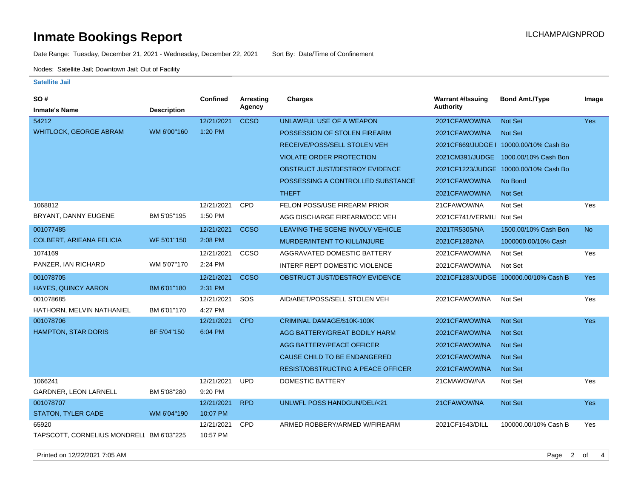# **Inmate Bookings Report Installation Control Control Control Control Control Control Control Control Control Control Control Control Control Control Control Control Control Control Control Control Control Control Control**

Date Range: Tuesday, December 21, 2021 - Wednesday, December 22, 2021 Sort By: Date/Time of Confinement

Nodes: Satellite Jail; Downtown Jail; Out of Facility

#### **Satellite Jail**

| <b>SO#</b>                               |                    | Confined   | <b>Arresting</b> | <b>Charges</b>                            | <b>Warrant #/Issuing</b>  | <b>Bond Amt./Type</b>                  | Image      |
|------------------------------------------|--------------------|------------|------------------|-------------------------------------------|---------------------------|----------------------------------------|------------|
| <b>Inmate's Name</b>                     | <b>Description</b> |            | Agency           |                                           | <b>Authority</b>          |                                        |            |
| 54212                                    |                    | 12/21/2021 | <b>CCSO</b>      | UNLAWFUL USE OF A WEAPON                  | 2021CFAWOW/NA             | Not Set                                | <b>Yes</b> |
| <b>WHITLOCK, GEORGE ABRAM</b>            | WM 6'00"160        | 1:20 PM    |                  | POSSESSION OF STOLEN FIREARM              | 2021CFAWOW/NA             | Not Set                                |            |
|                                          |                    |            |                  | RECEIVE/POSS/SELL STOLEN VEH              |                           | 2021CF669/JUDGE   10000.00/10% Cash Bo |            |
|                                          |                    |            |                  | <b>VIOLATE ORDER PROTECTION</b>           |                           | 2021CM391/JUDGE 1000.00/10% Cash Bon   |            |
|                                          |                    |            |                  | OBSTRUCT JUST/DESTROY EVIDENCE            |                           | 2021CF1223/JUDGE 10000.00/10% Cash Bo  |            |
|                                          |                    |            |                  | POSSESSING A CONTROLLED SUBSTANCE         | 2021CFAWOW/NA             | No Bond                                |            |
|                                          |                    |            |                  | <b>THEFT</b>                              | 2021CFAWOW/NA             | <b>Not Set</b>                         |            |
| 1068812                                  |                    | 12/21/2021 | <b>CPD</b>       | FELON POSS/USE FIREARM PRIOR              | 21CFAWOW/NA               | Not Set                                | Yes        |
| BRYANT, DANNY EUGENE                     | BM 5'05"195        | 1:50 PM    |                  | AGG DISCHARGE FIREARM/OCC VEH             | 2021CF741/VERMILI Not Set |                                        |            |
| 001077485                                |                    | 12/21/2021 | <b>CCSO</b>      | LEAVING THE SCENE INVOLV VEHICLE          | 2021TR5305/NA             | 1500.00/10% Cash Bon                   | <b>No</b>  |
| <b>COLBERT, ARIEANA FELICIA</b>          | WF 5'01"150        | 2:08 PM    |                  | MURDER/INTENT TO KILL/INJURE              | 2021CF1282/NA             | 1000000.00/10% Cash                    |            |
| 1074169                                  |                    | 12/21/2021 | CCSO             | AGGRAVATED DOMESTIC BATTERY               | 2021CFAWOW/NA             | Not Set                                | Yes        |
| PANZER, IAN RICHARD                      | WM 5'07"170        | 2:24 PM    |                  | INTERF REPT DOMESTIC VIOLENCE             | 2021CFAWOW/NA             | Not Set                                |            |
| 001078705                                |                    | 12/21/2021 | <b>CCSO</b>      | OBSTRUCT JUST/DESTROY EVIDENCE            |                           | 2021CF1283/JUDGE 100000.00/10% Cash B  | <b>Yes</b> |
| <b>HAYES, QUINCY AARON</b>               | BM 6'01"180        | 2:31 PM    |                  |                                           |                           |                                        |            |
| 001078685                                |                    | 12/21/2021 | SOS              | AID/ABET/POSS/SELL STOLEN VEH             | 2021CFAWOW/NA             | Not Set                                | Yes        |
| HATHORN, MELVIN NATHANIEL                | BM 6'01"170        | 4:27 PM    |                  |                                           |                           |                                        |            |
| 001078706                                |                    | 12/21/2021 | <b>CPD</b>       | CRIMINAL DAMAGE/\$10K-100K                | 2021CFAWOW/NA             | Not Set                                | <b>Yes</b> |
| <b>HAMPTON, STAR DORIS</b>               | BF 5'04"150        | 6:04 PM    |                  | AGG BATTERY/GREAT BODILY HARM             | 2021CFAWOW/NA             | <b>Not Set</b>                         |            |
|                                          |                    |            |                  | <b>AGG BATTERY/PEACE OFFICER</b>          | 2021CFAWOW/NA             | <b>Not Set</b>                         |            |
|                                          |                    |            |                  | CAUSE CHILD TO BE ENDANGERED              | 2021CFAWOW/NA             | <b>Not Set</b>                         |            |
|                                          |                    |            |                  | <b>RESIST/OBSTRUCTING A PEACE OFFICER</b> | 2021CFAWOW/NA             | <b>Not Set</b>                         |            |
| 1066241                                  |                    | 12/21/2021 | <b>UPD</b>       | DOMESTIC BATTERY                          | 21CMAWOW/NA               | Not Set                                | Yes        |
| GARDNER, LEON LARNELL                    | BM 5'08"280        | 9:20 PM    |                  |                                           |                           |                                        |            |
| 001078707                                |                    | 12/21/2021 | <b>RPD</b>       | UNLWFL POSS HANDGUN/DEL/<21               | 21CFAWOW/NA               | Not Set                                | Yes        |
| <b>STATON, TYLER CADE</b>                | WM 6'04"190        | 10:07 PM   |                  |                                           |                           |                                        |            |
| 65920                                    |                    | 12/21/2021 | CPD              | ARMED ROBBERY/ARMED W/FIREARM             | 2021CF1543/DILL           | 100000.00/10% Cash B                   | Yes        |
| TAPSCOTT, CORNELIUS MONDRELI BM 6'03"225 |                    | 10:57 PM   |                  |                                           |                           |                                        |            |

Printed on 12/22/2021 7:05 AM Page 2 of 4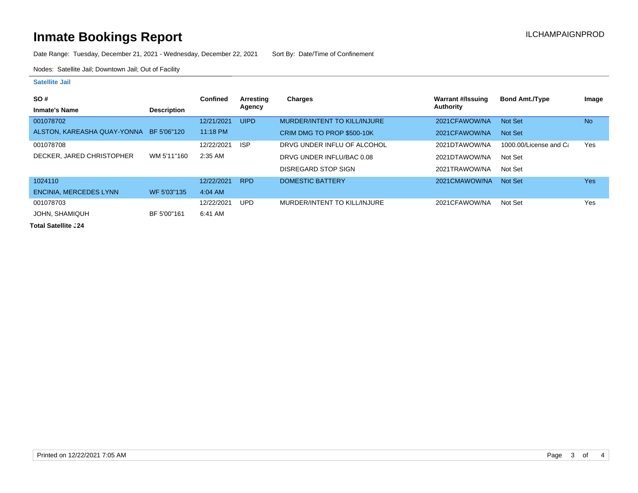# **Inmate Bookings Report Inmate Bookings Report**

Date Range: Tuesday, December 21, 2021 - Wednesday, December 22, 2021 Sort By: Date/Time of Confinement

Nodes: Satellite Jail; Downtown Jail; Out of Facility

#### **Satellite Jail**

| SO#                           |                    | <b>Confined</b> | Arresting   | Charges                      | Warrant #/Issuing | <b>Bond Amt./Type</b>  | Image     |
|-------------------------------|--------------------|-----------------|-------------|------------------------------|-------------------|------------------------|-----------|
| <b>Inmate's Name</b>          | <b>Description</b> |                 | Agency      |                              | Authority         |                        |           |
| 001078702                     |                    | 12/21/2021      | <b>UIPD</b> | MURDER/INTENT TO KILL/INJURE | 2021CFAWOW/NA     | Not Set                | <b>No</b> |
| ALSTON, KAREASHA QUAY-YONNA   | BF 5'06"120        | $11:18$ PM      |             | CRIM DMG TO PROP \$500-10K   | 2021CFAWOW/NA     | Not Set                |           |
| 001078708                     |                    | 12/22/2021      | <b>ISP</b>  | DRVG UNDER INFLU OF ALCOHOL  | 2021DTAWOW/NA     | 1000.00/License and Ca | Yes       |
| DECKER, JARED CHRISTOPHER     | WM 5'11"160        | 2:35 AM         |             | DRVG UNDER INFLU/BAC 0.08    | 2021DTAWOW/NA     | Not Set                |           |
|                               |                    |                 |             | DISREGARD STOP SIGN          | 2021TRAWOW/NA     | Not Set                |           |
| 1024110                       |                    | 12/22/2021      | <b>RPD</b>  | <b>DOMESTIC BATTERY</b>      | 2021CMAWOW/NA     | Not Set                | Yes       |
| <b>ENCINIA, MERCEDES LYNN</b> | WF 5'03"135        | $4:04$ AM       |             |                              |                   |                        |           |
| 001078703                     |                    | 12/22/2021      | <b>UPD</b>  | MURDER/INTENT TO KILL/INJURE | 2021CFAWOW/NA     | Not Set                | Yes       |
| JOHN, SHAMIQUH                | BF 5'00"161        | 6:41 AM         |             |                              |                   |                        |           |

**Total Satellite . 24**